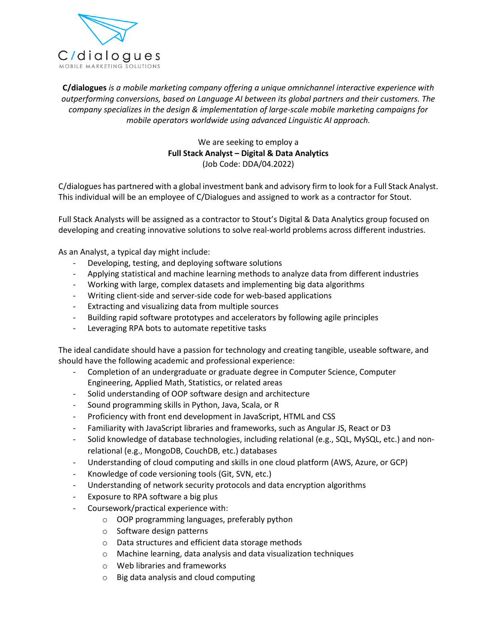

*c conversions, <i>b conversions, <i>conversions, based on Language a andpue omnichannel interactive experience with conversions, based on Language AI* between its alobal partners and their customers. The *s*<br>*s in d solutions*<br>*is is a mobile marketing company offering a unique omnichannel interactive experience with***<br>***ing conversions, based on Language AI between its global partners and their customers. The<br>speci* **S**<br> *operating company offering a unique omnichannel interactive exp*<br> *operators an Language AI between its global partners and their cu*<br> *the design & implementation of large-scale mobile marketing car*<br> *operators w* ny offering a unique omnichanne<br>guage AI between its global parti<br>plementation of large-scale mobil<br>wide using advanced Linguistic A<br>are seeking to emplov a C/dialogues is a mobile marketing company offering a unique omnichannel interactive experience with If company offering a unique omnichannel interent on Language AI between its global partners and<br>the *Stack Inplementation of large-scale mobile mark*<br>is worldwide using advanced Linguistic AI appro<br>We are seeking to emplo outperforming conversions, based on Language AI between its global partners and their customers. The *age Al between its global*<br>*age Al between its global*<br>*mentation of large-scale n<br>de using advanced Linguis*<br>e seeking to employ a<br>**lyst – Digital & Data Anal**y<br>Code: DDA/04.2022) C/dialoguesmobile operators worldwide using advanced Linguistic AI approach.<br>
We are seeking to employ a<br>
Full Stack Analyst – Digital & Data Analytics<br>
(Job Code: DDA/04.2022)<br>
C/dialogues has partnered with a global investment bank

mobile operators worldwide using advanced Linguistic AI approach.<br>
We are seeking to employ a<br> **Full Stack Analyst – Digital & Data Analytics**<br>
(Job Code: DDA/04.2022)<br>
C/dialogues has partnered with a global investment ba

Full Stack Analyst – Digital & Data Analytics<br>(Job Code: DDA/04.2022)<br>alogues has partnered with a global investment bank and advisory firm to look for a Full Stack Analyst.<br>individual will be an employee of C/Dialogues an (Job Code: DDA/04.2022)<br>
C/dialogues has partnered with a global investment bank and advisory firm to look for a Full Stack Analyst.<br>
This individual will be an employee of C/Dialogues and assigned to work as a contractor dialogues has partnered with a global investn<br>s individual will be an employee of C/Dialog<br>I Stack Analysts will be assigned as a contrad<br>veloping and creating innovative solutions to<br>an Analyst, a typical day might includ

ividual will be an employee of C/Dialogues and assigned to which<br>ividual will be an employee of C/Dialogues and assigned to which<br>is and deploying solutions to solve real-world probability<br>allyst, a typical day might inclu Reflexive in the sesigned as a contractor to Stout's Digital & Data Analytics group focused on<br>
ing and creating innovative solutions to solve real-world problems across different industries.<br>
halyst, a typical day might i Full Stack Analysts will be assigned as a contractor to Stout's Digital & Data Analytics group focused on In the assigned as a contractor to Stout's Digital & Data Analytics group<br>
Standard Creating innovative solutions to solve real-world problems across different in<br>
Unalyst, a typical day might include:<br>
Developing, testing - Eloping and creating innovative solutions to solve real-world problems across d<br>
n Analyst, a typical day might include:<br>
- Developing, testing, and deploying software solutions<br>
- Applying statistical and machine learni -

As an Analyst, a typical day might include:

- -
- Extracting and visual day might include:<br>
Developing, testing, and deploying software solutions<br>
Applying statistical and machine learning methods to analyz<br>
Working with large, complex datasets and implementing big<br>
Writi nalyst, a typical day might include:<br>Developing, testing, and deploying software solutions<br>Applying statistical and machine learning methods to analyze data from different indust<br>Working with large, complex datasets and im Leveloping, testing, and deploying software solutions<br>Applying statistical and machine learning methods to ana<br>Working with large, complex datasets and implementing<br>Writing client-side and server-side code for web-based a<br>
- 
- Writing client-side and server-side code for web-based applications
- 
- Fig. 2. Working with large, complex datasets and implementing big data algorithms<br>
Writing client-side and server-side code for web-based applications<br>
Extracting and visualizing data from multiple sources<br>
Building rapid Entreemig er<br>Ruilding rani
- -

- Writing client-side and server-side code for web-based applica-<br>- Extracting and visualizing data from multiple sources<br>- Building rapid software prototypes and accelerators by followi<br>- Leveraging RPA bots to automate r Extracting and visualizing data from multiple sources<br>Building rapid software prototypes and accelerators by following agile principles<br>Leveraging RPA bots to automate repetitive tasks<br>al candidate should have a passion fo A software prototypes and accelerators by follow<br>PA bots to automate repetitive tasks<br>hould have a passion for technology and creatin<br>wing academic and professional experience:<br>of an undergraduate or graduate degree in Com -

- Leveraging RPA bots to automate repetitive tasks<br>al candidate should have a passion for technology and creating tangible<br>have the following academic and professional experience:<br>Completion of an undergraduate or graduate d Il candidate should have a passion for technology and creating<br>nave the following academic and professional experience:<br>Completion of an undergraduate or graduate degree in Compu<br>Engineering, Applied Math, Statistics, or r ideal candidate should have a passion for technology and creating tangible, usea<br>
uld have the following academic and professional experience:<br>
- Completion of an undergraduate or graduate degree in Computer Science, Compl nave the following academic and professional experience:<br>
Completion of an undergraduate or graduate degree in Computer Science, Computer<br>
Engineering, Applied Math, Statistics, or related areas<br>
Solid understanding of OOP -Completion of an undergraduate or graduate degree in Computer Science, Computer<br>Engineering, Applied Math, Statistics, or related areas<br>Solid understanding of OOP software design and architecture<br>Sound programming skills i
- -
- 
- 
- -
- ng, Applied Math, Statistics, or related areas<br>erstanding of OOP software design and architectu<br>gramming skills in Python, Java, Scala, or R<br>y with front end development in JavaScript, HTMI<br>y with JavaScript libraries and Solid understanding of OOP software design and architecture<br>
Sound programming skills in Python, Java, Scala, or R<br>
Proficiency with front end development in JavaScript, HTML and CSS<br>
Familiarity with JavaScript libraries Sound programming skills in Python, Java, Scala, or R<br>
Proficiency with front end development in JavaScript, H1<br>
Familiarity with JavaScript libraries and frameworks, suc<br>
Solid knowledge of database technologies, includin Proficiency with front end development in JavaScript, HTML and CSS<br>Familiarity with JavaScript libraries and frameworks, such as Angular JS, React or D3<br>Solid knowledge of database technologies, including relational (e.g., Familiarity with JavaScript libraries and fram<br>Solid knowledge of database technologies,<br>relational (e.g., MongoDB, CouchDB, etc.) c<br>Understanding of cloud computing and skil<br>Knowledge of code versioning tools (Git, S\<br>Und -Solid knowledge of database technologies, i<br>relational (e.g., MongoDB, CouchDB, etc.) d<br>Understanding of cloud computing and skill<br>Knowledge of code versioning tools (Git, SV<br>Understanding of network security protocol<br>Expo
- tional (e.g., MongoDB, CouchDB, etc.) databases<br>erstanding of cloud computing and skills in one cloud platform<br>wledge of code versioning tools (Git, SVN, etc.)<br>erstanding of network security protocols and data encryption<br>o
- 
- wledge of code versioning tools (Git, SVN, etc.)<br>
erstanding of network security protocols and data encryption<br>
bsure to RPA software a big plus<br>
rsework/practical experience with:<br>
 OOP programming languages, preferably erstanding of network security protocols and data encryption algorithms<br>
osure to RPA software a big plus<br>
rsework/practical experience with:<br>
○ OOP programming languages, preferably python<br>
○ Software design patterns<br>
○  $\sim$
- 
- $\overline{a}$
- erstanding of cloud computing and s<br>wledge of code versioning tools (Git,<br>erstanding of network security proto<br>osure to RPA software a big plus<br>rsework/practical experience with:<br>O OOP programming languages, profit Softwar Saure to RPA software a big plus<br>
rsework/practical experience with:<br>
○ OOP programming languages, prefera<br>
○ Software design patterns<br>
○ Data structures and efficient data sto<br>
○ Machine learning, data analysis and d<br>
○ rsework/practical experience with:<br>
o OOP programming languages, preferal<br>
o Software design patterns<br>
o Data structures and efficient data stor<br>
o Machine learning, data analysis and da<br>
o Web libraries and frameworks<br>
o
	-
	-
	-
	-
	-